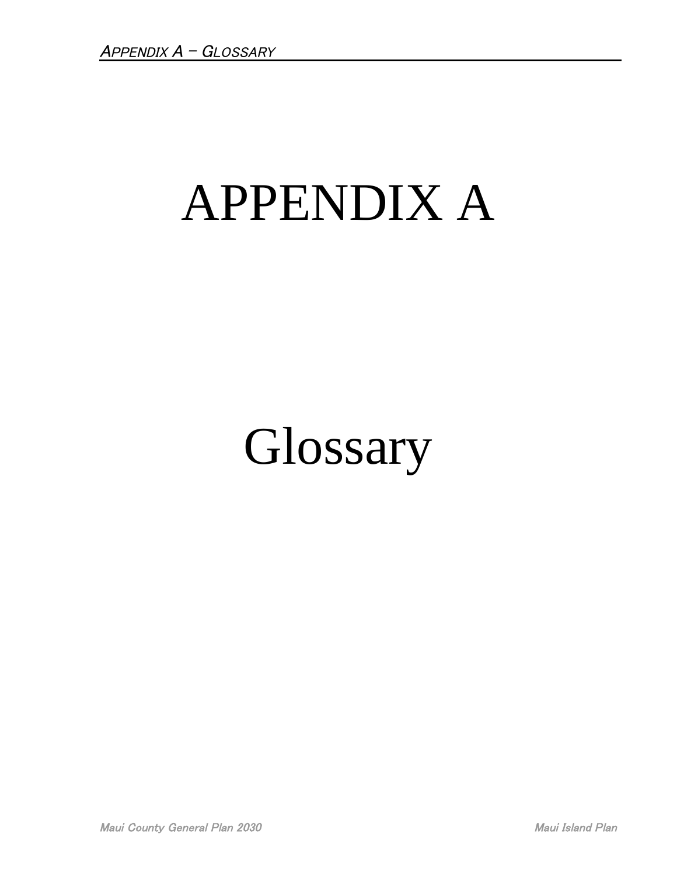## APPENDIX A

## Glossary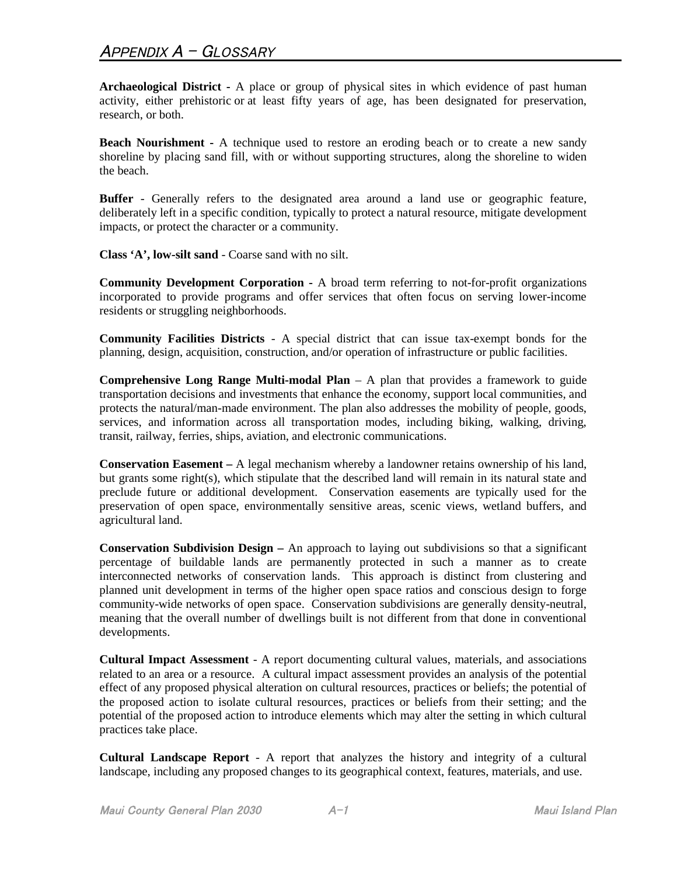**Archaeological District -** A place or group of physical sites in which evidence of past human activity, either prehistoric or at least fifty years of age, has been designated for preservation, research, or both.

**Beach Nourishment -** A technique used to restore an eroding beach or to create a new sandy shoreline by placing sand fill, with or without supporting structures, along the shoreline to widen the beach.

**Buffer** - Generally refers to the designated area around a land use or geographic feature, deliberately left in a specific condition, typically to protect a natural resource, mitigate development impacts, or protect the character or a community.

**Class 'A', low-silt sand** - Coarse sand with no silt.

**Community Development Corporation -** A broad term referring to not-for-profit organizations incorporated to provide programs and offer services that often focus on serving lower-income residents or struggling neighborhoods.

**Community Facilities Districts** - A special district that can issue tax-exempt bonds for the planning, design, acquisition, construction, and/or operation of infrastructure or public facilities.

**Comprehensive Long Range Multi-modal Plan** – A plan that provides a framework to guide transportation decisions and investments that enhance the economy, support local communities, and protects the natural/man-made environment. The plan also addresses the mobility of people, goods, services, and information across all transportation modes, including biking, walking, driving, transit, railway, ferries, ships, aviation, and electronic communications.

**Conservation Easement –** A legal mechanism whereby a landowner retains ownership of his land, but grants some right(s), which stipulate that the described land will remain in its natural state and preclude future or additional development. Conservation easements are typically used for the preservation of open space, environmentally sensitive areas, scenic views, wetland buffers, and agricultural land.

**Conservation Subdivision Design –** An approach to laying out subdivisions so that a significant percentage of buildable lands are permanently protected in such a manner as to create interconnected networks of conservation lands. This approach is distinct from clustering and planned unit development in terms of the higher open space ratios and conscious design to forge community-wide networks of open space. Conservation subdivisions are generally density-neutral, meaning that the overall number of dwellings built is not different from that done in conventional developments.

**Cultural Impact Assessment** - A report documenting cultural values, materials, and associations related to an area or a resource. A cultural impact assessment provides an analysis of the potential effect of any proposed physical alteration on cultural resources, practices or beliefs; the potential of the proposed action to isolate cultural resources, practices or beliefs from their setting; and the potential of the proposed action to introduce elements which may alter the setting in which cultural practices take place.

**Cultural Landscape Report** - A report that analyzes the history and integrity of a cultural landscape, including any proposed changes to its geographical context, features, materials, and use.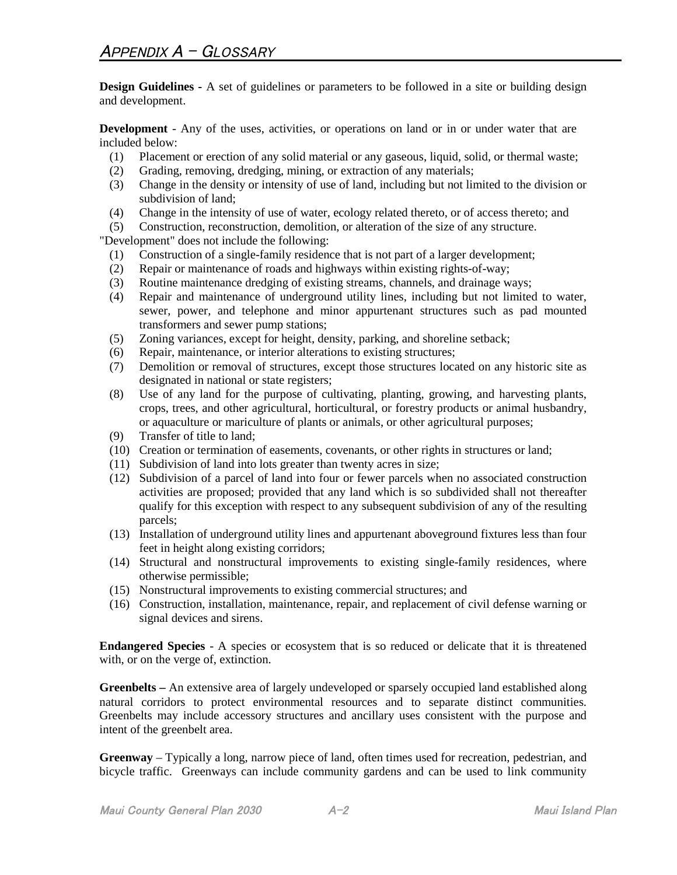**Design Guidelines -** A set of guidelines or parameters to be followed in a site or building design and development.

**Development** - Any of the uses, activities, or operations on land or in or under water that are included below:

- (1) Placement or erection of any solid material or any gaseous, liquid, solid, or thermal waste;
- (2) Grading, removing, dredging, mining, or extraction of any materials;
- (3) Change in the density or intensity of use of land, including but not limited to the division or subdivision of land;
- (4) Change in the intensity of use of water, ecology related thereto, or of access thereto; and
- (5) Construction, reconstruction, demolition, or alteration of the size of any structure.

"Development" does not include the following:

- (1) Construction of a single-family residence that is not part of a larger development;
- (2) Repair or maintenance of roads and highways within existing rights-of-way;
- (3) Routine maintenance dredging of existing streams, channels, and drainage ways;
- (4) Repair and maintenance of underground utility lines, including but not limited to water, sewer, power, and telephone and minor appurtenant structures such as pad mounted transformers and sewer pump stations;
- (5) Zoning variances, except for height, density, parking, and shoreline setback;
- (6) Repair, maintenance, or interior alterations to existing structures;
- (7) Demolition or removal of structures, except those structures located on any historic site as designated in national or state registers;
- (8) Use of any land for the purpose of cultivating, planting, growing, and harvesting plants, crops, trees, and other agricultural, horticultural, or forestry products or animal husbandry, or aquaculture or mariculture of plants or animals, or other agricultural purposes;
- (9) Transfer of title to land;
- (10) Creation or termination of easements, covenants, or other rights in structures or land;
- (11) Subdivision of land into lots greater than twenty acres in size;
- (12) Subdivision of a parcel of land into four or fewer parcels when no associated construction activities are proposed; provided that any land which is so subdivided shall not thereafter qualify for this exception with respect to any subsequent subdivision of any of the resulting parcels;
- (13) Installation of underground utility lines and appurtenant aboveground fixtures less than four feet in height along existing corridors;
- (14) Structural and nonstructural improvements to existing single-family residences, where otherwise permissible;
- (15) Nonstructural improvements to existing commercial structures; and
- (16) Construction, installation, maintenance, repair, and replacement of civil defense warning or signal devices and sirens.

**Endangered Species** - A species or ecosystem that is so reduced or delicate that it is threatened with, or on the verge of, extinction.

**Greenbelts –** An extensive area of largely undeveloped or sparsely occupied land established along natural corridors to protect environmental resources and to separate distinct communities. Greenbelts may include accessory structures and ancillary uses consistent with the purpose and intent of the greenbelt area.

**Greenway** – Typically a long, narrow piece of land, often times used for recreation, pedestrian, and bicycle traffic. Greenways can include community gardens and can be used to link community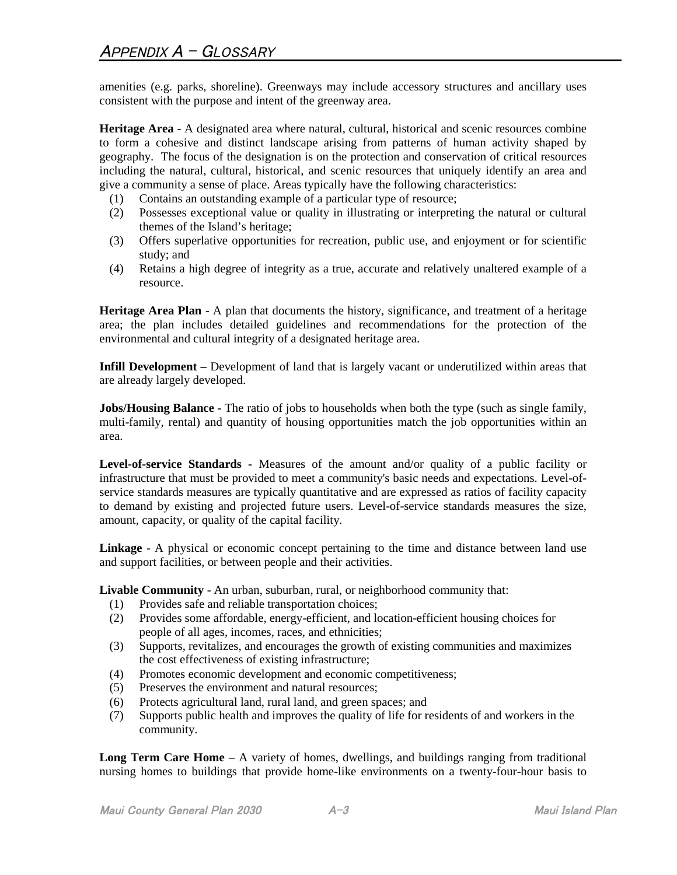amenities (e.g. parks, shoreline). Greenways may include accessory structures and ancillary uses consistent with the purpose and intent of the greenway area.

**Heritage Area** - A designated area where natural, cultural, historical and scenic resources combine to form a cohesive and distinct landscape arising from patterns of human activity shaped by geography. The focus of the designation is on the protection and conservation of critical resources including the natural, cultural, historical, and scenic resources that uniquely identify an area and give a community a sense of place. Areas typically have the following characteristics:

- (1) Contains an outstanding example of a particular type of resource;
- (2) Possesses exceptional value or quality in illustrating or interpreting the natural or cultural themes of the Island's heritage;
- (3) Offers superlative opportunities for recreation, public use, and enjoyment or for scientific study; and
- (4) Retains a high degree of integrity as a true, accurate and relatively unaltered example of a resource.

**Heritage Area Plan** - A plan that documents the history, significance, and treatment of a heritage area; the plan includes detailed guidelines and recommendations for the protection of the environmental and cultural integrity of a designated heritage area.

**Infill Development** – Development of land that is largely vacant or underutilized within areas that are already largely developed.

**Jobs/Housing Balance** - The ratio of jobs to households when both the type (such as single family, multi-family, rental) and quantity of housing opportunities match the job opportunities within an area.

**Level-of-service Standards -** Measures of the amount and/or quality of a public facility or infrastructure that must be provided to meet a community's basic needs and expectations. Level-ofservice standards measures are typically quantitative and are expressed as ratios of facility capacity to demand by existing and projected future users. Level-of-service standards measures the size, amount, capacity, or quality of the capital facility.

**Linkage** - A physical or economic concept pertaining to the time and distance between land use and support facilities, or between people and their activities.

**Livable Community** - An urban, suburban, rural, or neighborhood community that:

- (1) Provides safe and reliable transportation choices;
- (2) Provides some affordable, energy-efficient, and location-efficient housing choices for people of all ages, incomes, races, and ethnicities;
- (3) Supports, revitalizes, and encourages the growth of existing communities and maximizes the cost effectiveness of existing infrastructure;
- (4) Promotes economic development and economic competitiveness;
- (5) Preserves the environment and natural resources;
- (6) Protects agricultural land, rural land, and green spaces; and
- (7) Supports public health and improves the quality of life for residents of and workers in the community.

**Long Term Care Home** – A variety of homes, dwellings, and buildings ranging from traditional nursing homes to buildings that provide home-like environments on a twenty-four-hour basis to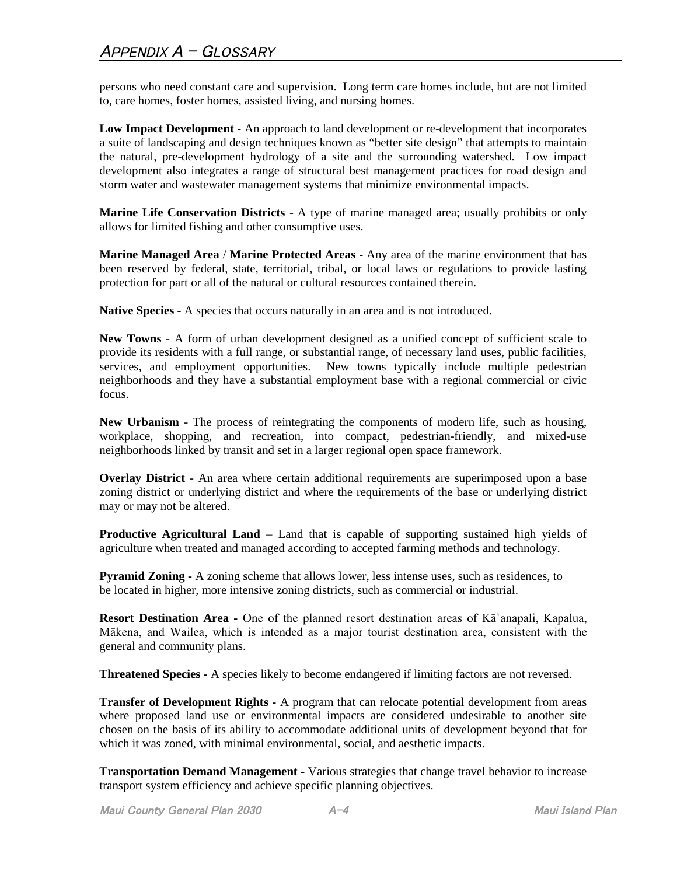persons who need constant care and supervision. Long term care homes include, but are not limited to, care homes, foster homes, assisted living, and nursing homes.

**Low Impact Development -** An approach to land development or re-development that incorporates a suite of landscaping and design techniques known as "better site design" that attempts to maintain the natural, pre-development hydrology of a site and the surrounding watershed. Low impact development also integrates a range of structural best management practices for road design and storm water and wastewater management systems that minimize environmental impacts.

**Marine Life Conservation Districts** - A type of marine managed area; usually prohibits or only allows for limited fishing and other consumptive uses.

**Marine Managed Area** / **Marine Protected Areas -** Any area of the marine environment that has been reserved by federal, state, territorial, tribal, or local laws or regulations to provide lasting protection for part or all of the natural or cultural resources contained therein.

**Native Species -** A species that occurs naturally in an area and is not introduced.

**New Towns -** A form of urban development designed as a unified concept of sufficient scale to provide its residents with a full range, or substantial range, of necessary land uses, public facilities, services, and employment opportunities. New towns typically include multiple pedestrian neighborhoods and they have a substantial employment base with a regional commercial or civic focus.

**New Urbanism** - The process of reintegrating the components of modern life, such as housing, workplace, shopping, and recreation, into compact, pedestrian-friendly, and mixed-use neighborhoods linked by transit and set in a larger regional open space framework.

**Overlay District** *-* An area where certain additional requirements are superimposed upon a base zoning district or underlying district and where the requirements of the base or underlying district may or may not be altered.

**Productive Agricultural Land** – Land that is capable of supporting sustained high yields of agriculture when treated and managed according to accepted farming methods and technology.

**Pyramid Zoning -** A zoning scheme that allows lower, less intense uses, such as residences, to be located in higher, more intensive zoning districts, such as commercial or industrial.

**Resort Destination Area -** One of the planned resort destination areas of Kā`anapali, Kapalua, Mākena, and Wailea, which is intended as a major tourist destination area, consistent with the general and community plans.

**Threatened Species -** A species likely to become endangered if limiting factors are not reversed.

**Transfer of Development Rights -** A program that can relocate potential development from areas where proposed land use or environmental impacts are considered undesirable to another site chosen on the basis of its ability to accommodate additional units of development beyond that for which it was zoned, with minimal environmental, social, and aesthetic impacts.

**Transportation Demand Management -** Various strategies that change travel behavior to increase transport system efficiency and achieve specific planning objectives.